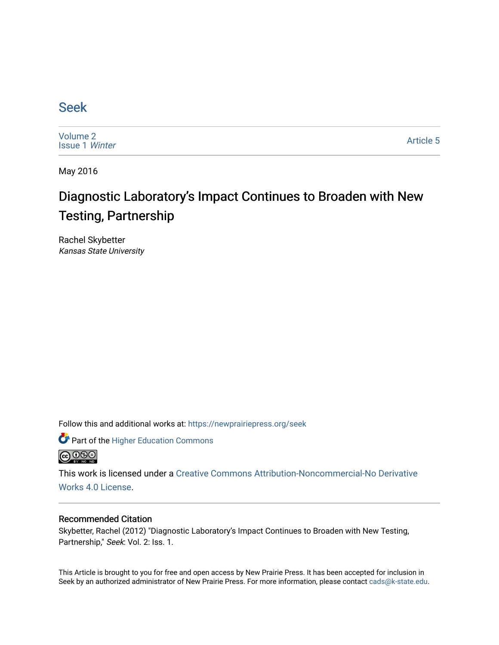### [Seek](https://newprairiepress.org/seek)

[Volume 2](https://newprairiepress.org/seek/vol2) [Issue 1](https://newprairiepress.org/seek/vol2/iss1) Winter

[Article 5](https://newprairiepress.org/seek/vol2/iss1/5) 

May 2016

## Diagnostic Laboratory's Impact Continues to Broaden with New Testing, Partnership

Rachel Skybetter Kansas State University

Follow this and additional works at: [https://newprairiepress.org/seek](https://newprairiepress.org/seek?utm_source=newprairiepress.org%2Fseek%2Fvol2%2Fiss1%2F5&utm_medium=PDF&utm_campaign=PDFCoverPages)

Part of the [Higher Education Commons](http://network.bepress.com/hgg/discipline/1245?utm_source=newprairiepress.org%2Fseek%2Fvol2%2Fiss1%2F5&utm_medium=PDF&utm_campaign=PDFCoverPages) 



This work is licensed under a [Creative Commons Attribution-Noncommercial-No Derivative](https://creativecommons.org/licenses/by-nc-nd/4.0/)  [Works 4.0 License](https://creativecommons.org/licenses/by-nc-nd/4.0/).

#### Recommended Citation

Skybetter, Rachel (2012) "Diagnostic Laboratory's Impact Continues to Broaden with New Testing, Partnership," Seek: Vol. 2: Iss. 1.

This Article is brought to you for free and open access by New Prairie Press. It has been accepted for inclusion in Seek by an authorized administrator of New Prairie Press. For more information, please contact [cads@k-state.edu](mailto:cads@k-state.edu).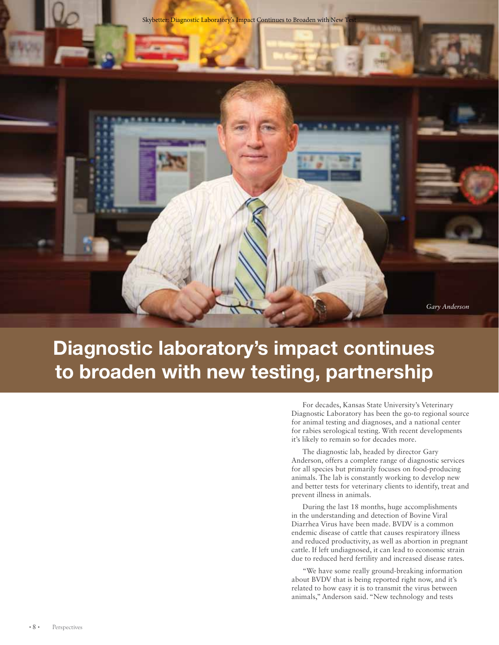

# Diagnostic laboratory's impact continues to broaden with new testing, partnership

For decades, Kansas State University's Veterinary Diagnostic Laboratory has been the go-to regional source for animal testing and diagnoses, and a national center for rabies serological testing. With recent developments it's likely to remain so for decades more.

The diagnostic lab, headed by director Gary Anderson, offers a complete range of diagnostic services for all species but primarily focuses on food-producing animals. The lab is constantly working to develop new and better tests for veterinary clients to identify, treat and prevent illness in animals.

During the last 18 months, huge accomplishments in the understanding and detection of Bovine Viral Diarrhea Virus have been made. BVDV is a common endemic disease of cattle that causes respiratory illness and reduced productivity, as well as abortion in pregnant cattle. If left undiagnosed, it can lead to economic strain due to reduced herd fertility and increased disease rates.

"We have some really ground-breaking information about BVDV that is being reported right now, and it's related to how easy it is to transmit the virus between animals," Anderson said. "New technology and tests